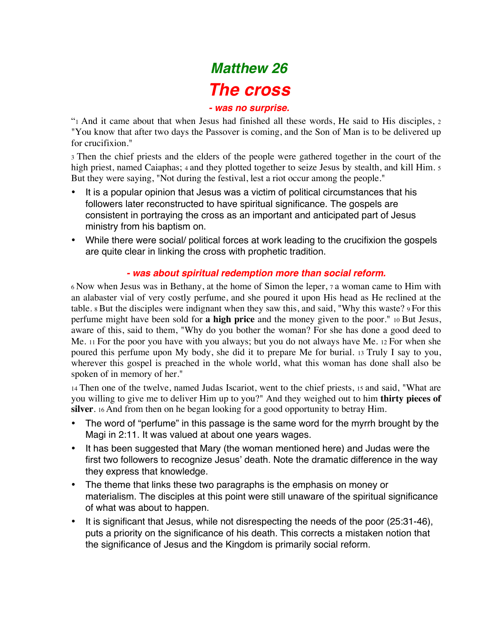# *Matthew 26 The cross*

#### *- was no surprise.*

"1 And it came about that when Jesus had finished all these words, He said to His disciples, 2 "You know that after two days the Passover is coming, and the Son of Man is to be delivered up for crucifixion."

3 Then the chief priests and the elders of the people were gathered together in the court of the high priest, named Caiaphas; 4 and they plotted together to seize Jesus by stealth, and kill Him. 5 But they were saying, "Not during the festival, lest a riot occur among the people."

- It is a popular opinion that Jesus was a victim of political circumstances that his followers later reconstructed to have spiritual significance. The gospels are consistent in portraying the cross as an important and anticipated part of Jesus ministry from his baptism on.
- While there were social/ political forces at work leading to the crucifixion the gospels are quite clear in linking the cross with prophetic tradition.

#### *- was about spiritual redemption more than social reform.*

6 Now when Jesus was in Bethany, at the home of Simon the leper, 7 a woman came to Him with an alabaster vial of very costly perfume, and she poured it upon His head as He reclined at the table. 8 But the disciples were indignant when they saw this, and said, "Why this waste? 9 For this perfume might have been sold for **a high price** and the money given to the poor." 10 But Jesus, aware of this, said to them, "Why do you bother the woman? For she has done a good deed to Me. 11 For the poor you have with you always; but you do not always have Me. 12 For when she poured this perfume upon My body, she did it to prepare Me for burial. 13 Truly I say to you, wherever this gospel is preached in the whole world, what this woman has done shall also be spoken of in memory of her."

14 Then one of the twelve, named Judas Iscariot, went to the chief priests, 15 and said, "What are you willing to give me to deliver Him up to you?" And they weighed out to him **thirty pieces of silver**. 16 And from then on he began looking for a good opportunity to betray Him.

- The word of "perfume" in this passage is the same word for the myrrh brought by the Magi in 2:11. It was valued at about one years wages.
- It has been suggested that Mary (the woman mentioned here) and Judas were the first two followers to recognize Jesus' death. Note the dramatic difference in the way they express that knowledge.
- The theme that links these two paragraphs is the emphasis on money or materialism. The disciples at this point were still unaware of the spiritual significance of what was about to happen.
- It is significant that Jesus, while not disrespecting the needs of the poor (25:31-46), puts a priority on the significance of his death. This corrects a mistaken notion that the significance of Jesus and the Kingdom is primarily social reform.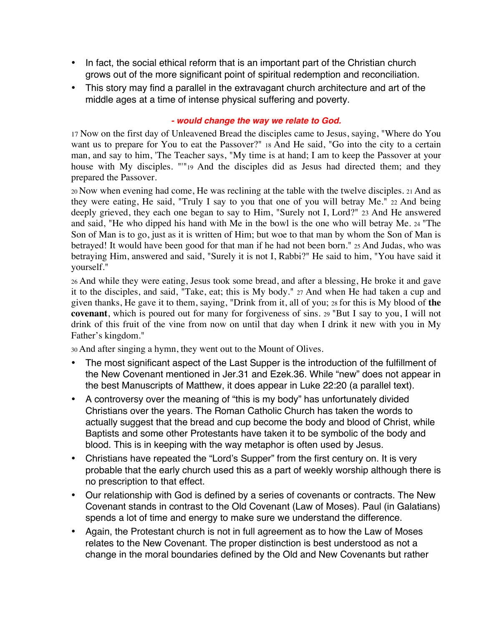- In fact, the social ethical reform that is an important part of the Christian church grows out of the more significant point of spiritual redemption and reconciliation.
- This story may find a parallel in the extravagant church architecture and art of the middle ages at a time of intense physical suffering and poverty.

#### *- would change the way we relate to God.*

17 Now on the first day of Unleavened Bread the disciples came to Jesus, saying, "Where do You want us to prepare for You to eat the Passover?" 18 And He said, "Go into the city to a certain man, and say to him, 'The Teacher says, "My time is at hand; I am to keep the Passover at your house with My disciples. ""19 And the disciples did as Jesus had directed them; and they prepared the Passover.

20 Now when evening had come, He was reclining at the table with the twelve disciples. 21 And as they were eating, He said, "Truly I say to you that one of you will betray Me." 22 And being deeply grieved, they each one began to say to Him, "Surely not I, Lord?" 23 And He answered and said, "He who dipped his hand with Me in the bowl is the one who will betray Me. 24 "The Son of Man is to go, just as it is written of Him; but woe to that man by whom the Son of Man is betrayed! It would have been good for that man if he had not been born." 25 And Judas, who was betraying Him, answered and said, "Surely it is not I, Rabbi?" He said to him, "You have said it yourself."

26 And while they were eating, Jesus took some bread, and after a blessing, He broke it and gave it to the disciples, and said, "Take, eat; this is My body." 27 And when He had taken a cup and given thanks, He gave it to them, saying, "Drink from it, all of you; 28 for this is My blood of **the covenant**, which is poured out for many for forgiveness of sins. 29 "But I say to you, I will not drink of this fruit of the vine from now on until that day when I drink it new with you in My Father's kingdom."

30 And after singing a hymn, they went out to the Mount of Olives.

- The most significant aspect of the Last Supper is the introduction of the fulfillment of the New Covenant mentioned in Jer.31 and Ezek.36. While "new" does not appear in the best Manuscripts of Matthew, it does appear in Luke 22:20 (a parallel text).
- A controversy over the meaning of "this is my body" has unfortunately divided Christians over the years. The Roman Catholic Church has taken the words to actually suggest that the bread and cup become the body and blood of Christ, while Baptists and some other Protestants have taken it to be symbolic of the body and blood. This is in keeping with the way metaphor is often used by Jesus.
- Christians have repeated the "Lord's Supper" from the first century on. It is very probable that the early church used this as a part of weekly worship although there is no prescription to that effect.
- Our relationship with God is defined by a series of covenants or contracts. The New Covenant stands in contrast to the Old Covenant (Law of Moses). Paul (in Galatians) spends a lot of time and energy to make sure we understand the difference.
- Again, the Protestant church is not in full agreement as to how the Law of Moses relates to the New Covenant. The proper distinction is best understood as not a change in the moral boundaries defined by the Old and New Covenants but rather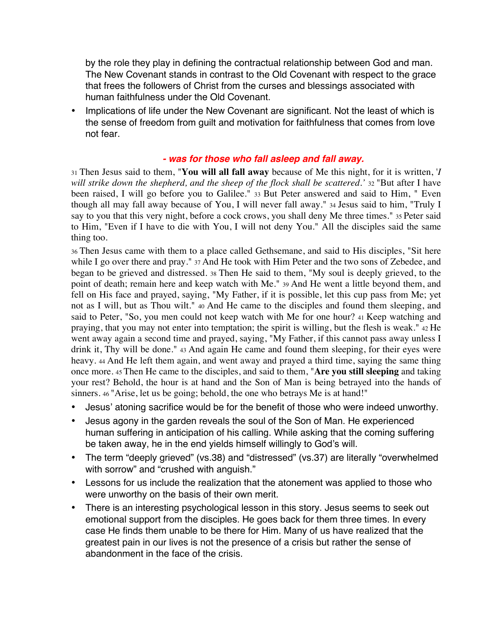by the role they play in defining the contractual relationship between God and man. The New Covenant stands in contrast to the Old Covenant with respect to the grace that frees the followers of Christ from the curses and blessings associated with human faithfulness under the Old Covenant.

• Implications of life under the New Covenant are significant. Not the least of which is the sense of freedom from guilt and motivation for faithfulness that comes from love not fear.

#### *- was for those who fall asleep and fall away.*

31 Then Jesus said to them, "**You will all fall away** because of Me this night, for it is written, '*I will strike down the shepherd, and the sheep of the flock shall be scattered.'* 32 "But after I have been raised, I will go before you to Galilee." 33 But Peter answered and said to Him, " Even though all may fall away because of You, I will never fall away." 34 Jesus said to him, "Truly I say to you that this very night, before a cock crows, you shall deny Me three times." 35 Peter said to Him, "Even if I have to die with You, I will not deny You." All the disciples said the same thing too.

36 Then Jesus came with them to a place called Gethsemane, and said to His disciples, "Sit here while I go over there and pray." 37 And He took with Him Peter and the two sons of Zebedee, and began to be grieved and distressed. 38 Then He said to them, "My soul is deeply grieved, to the point of death; remain here and keep watch with Me." 39 And He went a little beyond them, and fell on His face and prayed, saying, "My Father, if it is possible, let this cup pass from Me; yet not as I will, but as Thou wilt." 40 And He came to the disciples and found them sleeping, and said to Peter, "So, you men could not keep watch with Me for one hour? 41 Keep watching and praying, that you may not enter into temptation; the spirit is willing, but the flesh is weak." 42 He went away again a second time and prayed, saying, "My Father, if this cannot pass away unless I drink it, Thy will be done." 43 And again He came and found them sleeping, for their eyes were heavy. 44 And He left them again, and went away and prayed a third time, saying the same thing once more. 45 Then He came to the disciples, and said to them, "**Are you still sleeping** and taking your rest? Behold, the hour is at hand and the Son of Man is being betrayed into the hands of sinners. 46 "Arise, let us be going; behold, the one who betrays Me is at hand!"

- Jesus' atoning sacrifice would be for the benefit of those who were indeed unworthy.
- Jesus agony in the garden reveals the soul of the Son of Man. He experienced human suffering in anticipation of his calling. While asking that the coming suffering be taken away, he in the end yields himself willingly to God's will.
- The term "deeply grieved" (vs.38) and "distressed" (vs.37) are literally "overwhelmed with sorrow" and "crushed with anguish."
- Lessons for us include the realization that the atonement was applied to those who were unworthy on the basis of their own merit.
- There is an interesting psychological lesson in this story. Jesus seems to seek out emotional support from the disciples. He goes back for them three times. In every case He finds them unable to be there for Him. Many of us have realized that the greatest pain in our lives is not the presence of a crisis but rather the sense of abandonment in the face of the crisis.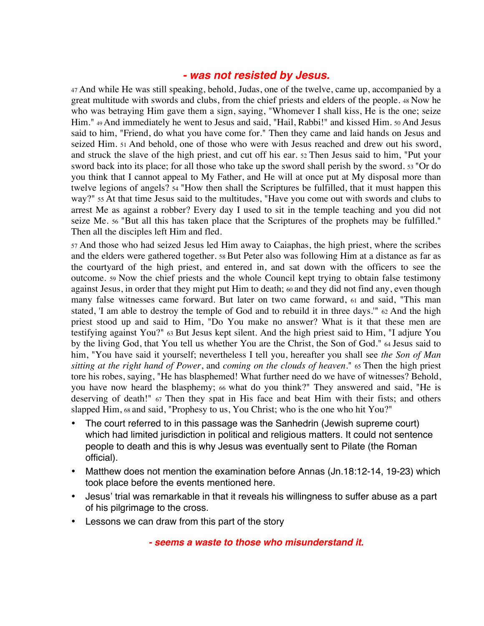#### *- was not resisted by Jesus.*

47 And while He was still speaking, behold, Judas, one of the twelve, came up, accompanied by a great multitude with swords and clubs, from the chief priests and elders of the people. 48 Now he who was betraying Him gave them a sign, saying, "Whomever I shall kiss, He is the one; seize Him." 49 And immediately he went to Jesus and said, "Hail, Rabbi!" and kissed Him. 50 And Jesus said to him, "Friend, do what you have come for." Then they came and laid hands on Jesus and seized Him. 51 And behold, one of those who were with Jesus reached and drew out his sword, and struck the slave of the high priest, and cut off his ear. 52 Then Jesus said to him, "Put your sword back into its place; for all those who take up the sword shall perish by the sword. 53 "Or do you think that I cannot appeal to My Father, and He will at once put at My disposal more than twelve legions of angels? 54 "How then shall the Scriptures be fulfilled, that it must happen this way?" 55 At that time Jesus said to the multitudes, "Have you come out with swords and clubs to arrest Me as against a robber? Every day I used to sit in the temple teaching and you did not seize Me. 56 "But all this has taken place that the Scriptures of the prophets may be fulfilled." Then all the disciples left Him and fled.

57 And those who had seized Jesus led Him away to Caiaphas, the high priest, where the scribes and the elders were gathered together. 58 But Peter also was following Him at a distance as far as the courtyard of the high priest, and entered in, and sat down with the officers to see the outcome. 59 Now the chief priests and the whole Council kept trying to obtain false testimony against Jesus, in order that they might put Him to death; 60 and they did not find any, even though many false witnesses came forward. But later on two came forward, 61 and said, "This man stated, 'I am able to destroy the temple of God and to rebuild it in three days.'" 62 And the high priest stood up and said to Him, "Do You make no answer? What is it that these men are testifying against You?" 63 But Jesus kept silent. And the high priest said to Him, "I adjure You by the living God, that You tell us whether You are the Christ, the Son of God." 64 Jesus said to him, "You have said it yourself; nevertheless I tell you, hereafter you shall see *the Son of Man sitting at the right hand of Power*, and *coming on the clouds of heaven*." 65 Then the high priest tore his robes, saying, "He has blasphemed! What further need do we have of witnesses? Behold, you have now heard the blasphemy; 66 what do you think?" They answered and said, "He is deserving of death!" 67 Then they spat in His face and beat Him with their fists; and others slapped Him, 68 and said, "Prophesy to us, You Christ; who is the one who hit You?"

- The court referred to in this passage was the Sanhedrin (Jewish supreme court) which had limited jurisdiction in political and religious matters. It could not sentence people to death and this is why Jesus was eventually sent to Pilate (the Roman official).
- Matthew does not mention the examination before Annas (Jn.18:12-14, 19-23) which took place before the events mentioned here.
- Jesus' trial was remarkable in that it reveals his willingness to suffer abuse as a part of his pilgrimage to the cross.
- Lessons we can draw from this part of the story

*- seems a waste to those who misunderstand it.*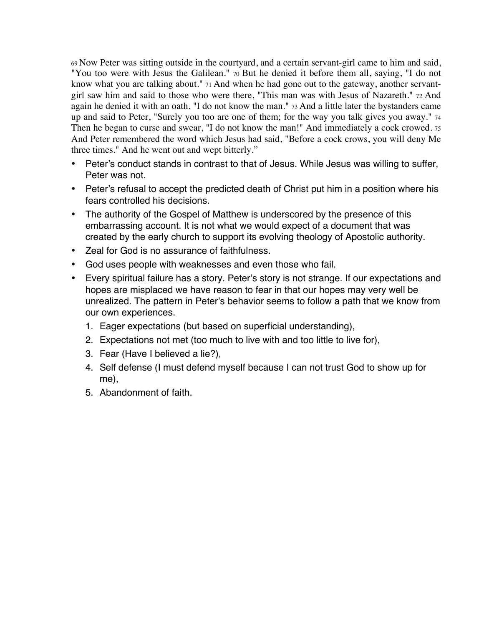69 Now Peter was sitting outside in the courtyard, and a certain servant-girl came to him and said, "You too were with Jesus the Galilean." 70 But he denied it before them all, saying, "I do not know what you are talking about." 71 And when he had gone out to the gateway, another servantgirl saw him and said to those who were there, "This man was with Jesus of Nazareth." 72 And again he denied it with an oath, "I do not know the man." 73 And a little later the bystanders came up and said to Peter, "Surely you too are one of them; for the way you talk gives you away." 74 Then he began to curse and swear, "I do not know the man!" And immediately a cock crowed. 75 And Peter remembered the word which Jesus had said, "Before a cock crows, you will deny Me three times." And he went out and wept bitterly."

- Peter's conduct stands in contrast to that of Jesus. While Jesus was willing to suffer, Peter was not.
- Peter's refusal to accept the predicted death of Christ put him in a position where his fears controlled his decisions.
- The authority of the Gospel of Matthew is underscored by the presence of this embarrassing account. It is not what we would expect of a document that was created by the early church to support its evolving theology of Apostolic authority.
- Zeal for God is no assurance of faithfulness.
- God uses people with weaknesses and even those who fail.
- Every spiritual failure has a story. Peter's story is not strange. If our expectations and hopes are misplaced we have reason to fear in that our hopes may very well be unrealized. The pattern in Peter's behavior seems to follow a path that we know from our own experiences.
	- 1. Eager expectations (but based on superficial understanding),
	- 2. Expectations not met (too much to live with and too little to live for),
	- 3. Fear (Have I believed a lie?),
	- 4. Self defense (I must defend myself because I can not trust God to show up for me),
	- 5. Abandonment of faith.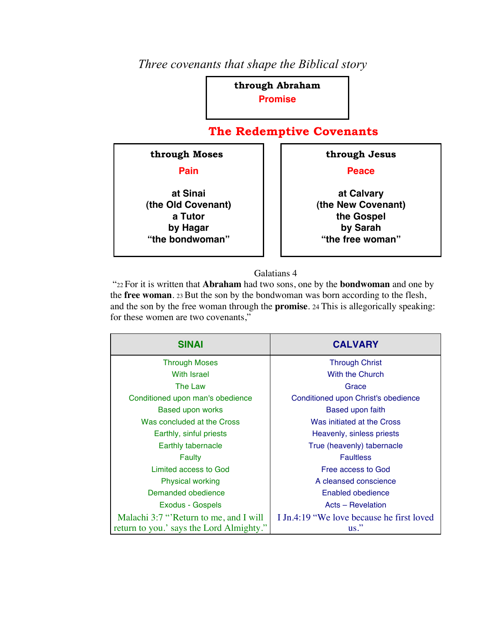#### *Three covenants that shape the Biblical story*

**through Abraham Promise** 

#### **The Redemptive Covenants**



#### Galatians 4

 "22 For it is written that **Abraham** had two sons, one by the **bondwoman** and one by the **free woman**. 23 But the son by the bondwoman was born according to the flesh, and the son by the free woman through the **promise**. 24 This is allegorically speaking: for these women are two covenants,"

| <b>SINAI</b>                             | <b>CALVARY</b>                            |
|------------------------------------------|-------------------------------------------|
| <b>Through Moses</b>                     | <b>Through Christ</b>                     |
| <b>With Israel</b>                       | With the Church                           |
| The Law                                  | Grace                                     |
| Conditioned upon man's obedience         | Conditioned upon Christ's obedience       |
| <b>Based upon works</b>                  | Based upon faith                          |
| Was concluded at the Cross               | Was initiated at the Cross                |
| Earthly, sinful priests                  | Heavenly, sinless priests                 |
| Earthly tabernacle                       | True (heavenly) tabernacle                |
| Faulty                                   | <b>Faultless</b>                          |
| Limited access to God                    | Free access to God                        |
| <b>Physical working</b>                  | A cleansed conscience                     |
| Demanded obedience                       | Enabled obedience                         |
| Exodus - Gospels                         | Acts - Revelation                         |
| Malachi 3:7 "Return to me, and I will    | I Jn.4:19 "We love because he first loved |
| return to you.' says the Lord Almighty." | $\text{us}$ ."                            |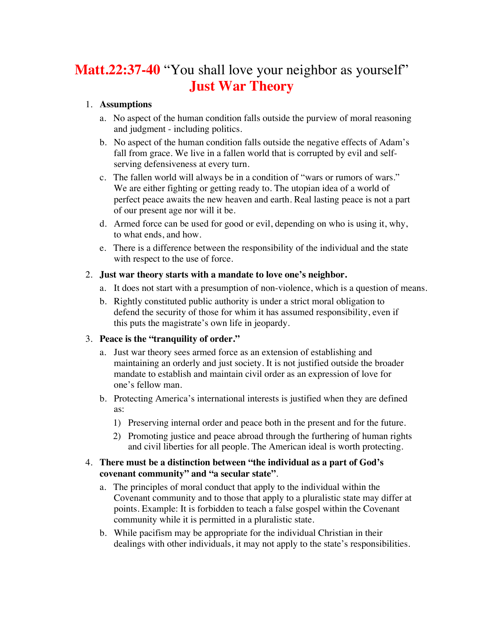## **Matt.22:37-40** "You shall love your neighbor as yourself" **Just War Theory**

#### 1. **Assumptions**

- a. No aspect of the human condition falls outside the purview of moral reasoning and judgment - including politics.
- b. No aspect of the human condition falls outside the negative effects of Adam's fall from grace. We live in a fallen world that is corrupted by evil and selfserving defensiveness at every turn.
- c. The fallen world will always be in a condition of "wars or rumors of wars." We are either fighting or getting ready to. The utopian idea of a world of perfect peace awaits the new heaven and earth. Real lasting peace is not a part of our present age nor will it be.
- d. Armed force can be used for good or evil, depending on who is using it, why, to what ends, and how.
- e. There is a difference between the responsibility of the individual and the state with respect to the use of force.

#### 2. **Just war theory starts with a mandate to love one's neighbor.**

- a. It does not start with a presumption of non-violence, which is a question of means.
- b. Rightly constituted public authority is under a strict moral obligation to defend the security of those for whim it has assumed responsibility, even if this puts the magistrate's own life in jeopardy.

#### 3. **Peace is the "tranquility of order."**

- a. Just war theory sees armed force as an extension of establishing and maintaining an orderly and just society. It is not justified outside the broader mandate to establish and maintain civil order as an expression of love for one's fellow man.
- b. Protecting America's international interests is justified when they are defined as:
	- 1) Preserving internal order and peace both in the present and for the future.
	- 2) Promoting justice and peace abroad through the furthering of human rights and civil liberties for all people. The American ideal is worth protecting.

#### 4. **There must be a distinction between "the individual as a part of God's covenant community" and "a secular state"**.

- a. The principles of moral conduct that apply to the individual within the Covenant community and to those that apply to a pluralistic state may differ at points. Example: It is forbidden to teach a false gospel within the Covenant community while it is permitted in a pluralistic state.
- b. While pacifism may be appropriate for the individual Christian in their dealings with other individuals, it may not apply to the state's responsibilities.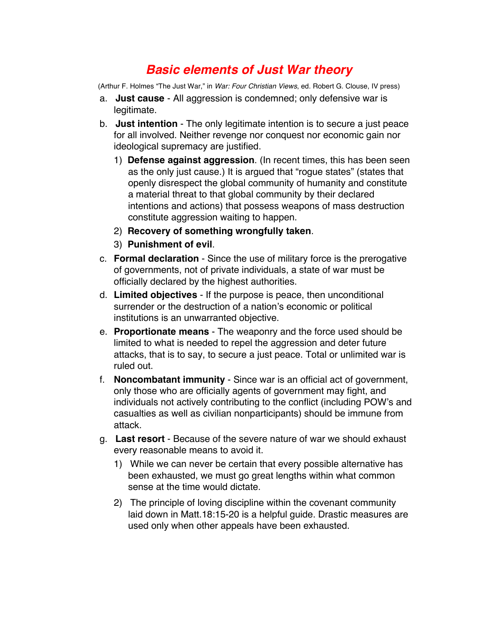### *Basic elements of Just War theory*

(Arthur F. Holmes "The Just War," in *War: Four Christian Views*, ed. Robert G. Clouse, IV press)

- a. **Just cause** All aggression is condemned; only defensive war is legitimate.
- b. **Just intention** The only legitimate intention is to secure a just peace for all involved. Neither revenge nor conquest nor economic gain nor ideological supremacy are justified.
	- 1) **Defense against aggression**. (In recent times, this has been seen as the only just cause.) It is argued that "rogue states" (states that openly disrespect the global community of humanity and constitute a material threat to that global community by their declared intentions and actions) that possess weapons of mass destruction constitute aggression waiting to happen.
	- 2) **Recovery of something wrongfully taken**.
	- 3) **Punishment of evil**.
- c. **Formal declaration** Since the use of military force is the prerogative of governments, not of private individuals, a state of war must be officially declared by the highest authorities.
- d. **Limited objectives** If the purpose is peace, then unconditional surrender or the destruction of a nation's economic or political institutions is an unwarranted objective.
- e. **Proportionate means**  The weaponry and the force used should be limited to what is needed to repel the aggression and deter future attacks, that is to say, to secure a just peace. Total or unlimited war is ruled out.
- f. **Noncombatant immunity** Since war is an official act of government, only those who are officially agents of government may fight, and individuals not actively contributing to the conflict (including POW's and casualties as well as civilian nonparticipants) should be immune from attack.
- g. **Last resort** Because of the severe nature of war we should exhaust every reasonable means to avoid it.
	- 1) While we can never be certain that every possible alternative has been exhausted, we must go great lengths within what common sense at the time would dictate.
	- 2) The principle of loving discipline within the covenant community laid down in Matt.18:15-20 is a helpful guide. Drastic measures are used only when other appeals have been exhausted.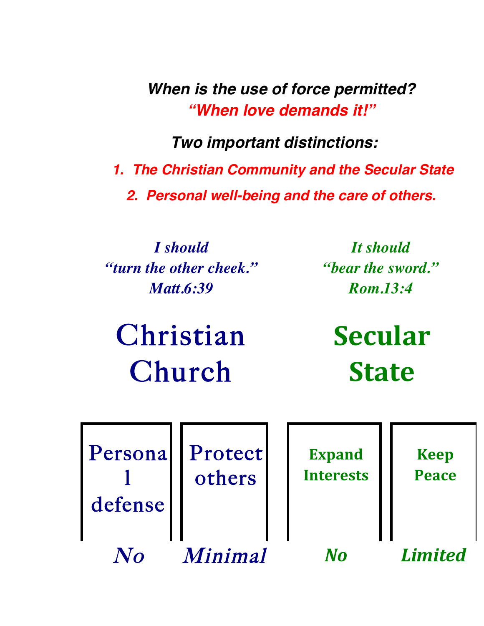*When is the use of force permitted? "When love demands it!"*

*Two important distinctions:*

*1. The Christian Community and the Secular State 2. Personal well-being and the care of others.*

*I should "turn the other cheek." Matt.6:39*

*It should "bear the sword." Rom.13:4*

Christian Church

**Secular( State**

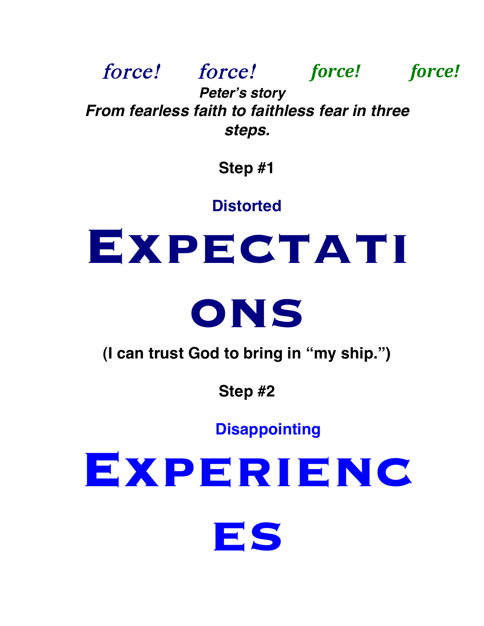force! force! *force! force! Peter***'***s story From fearless faith to faithless fear in three steps.*

**Step #1**

**Distorted** 

# **EXPECTATI**



**(I can trust God to bring in "my ship.")**

**Step #2**

**Disappointing**

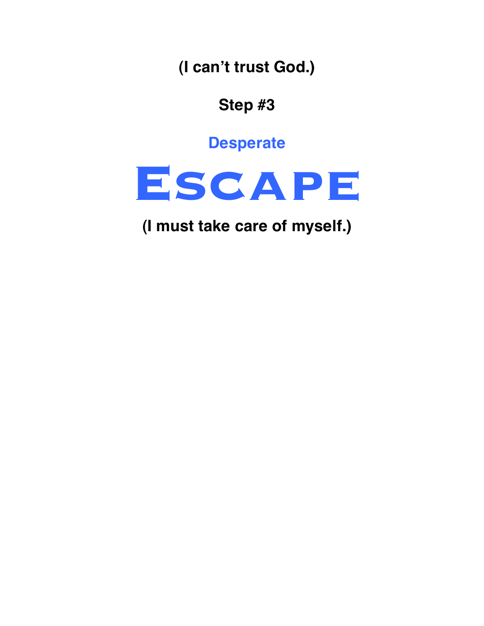**(I can't trust God.)**

**Step #3**

**Desperate**



**(I must take care of myself.)**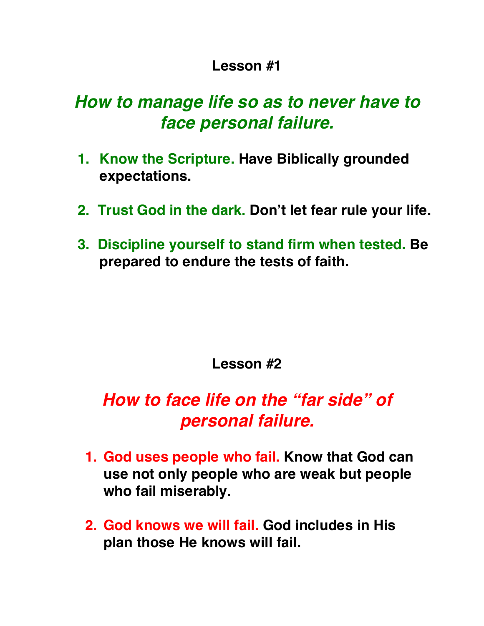## **Lesson #1**

## *How to manage life so as to never have to face personal failure.*

- **1. Know the Scripture. Have Biblically grounded expectations.**
- **2. Trust God in the dark. Don't let fear rule your life.**
- **3. Discipline yourself to stand firm when tested. Be prepared to endure the tests of faith.**

## **Lesson #2**

# *How to face life on the "far side" of personal failure.*

- **1. God uses people who fail. Know that God can use not only people who are weak but people who fail miserably.**
- **2. God knows we will fail. God includes in His plan those He knows will fail.**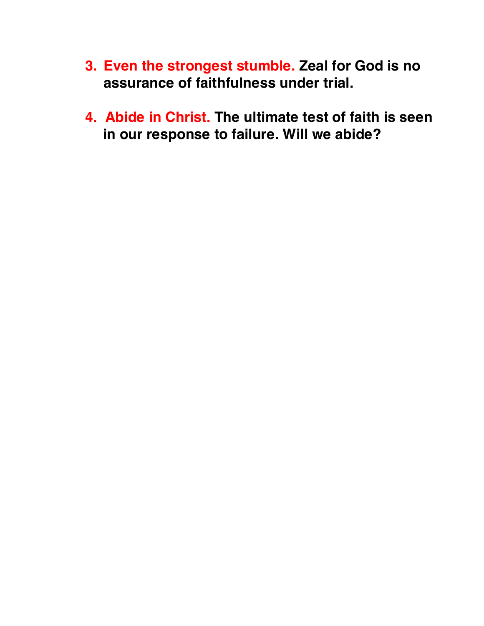- **3. Even the strongest stumble. Zeal for God is no assurance of faithfulness under trial.**
- **4. Abide in Christ. The ultimate test of faith is seen in our response to failure. Will we abide?**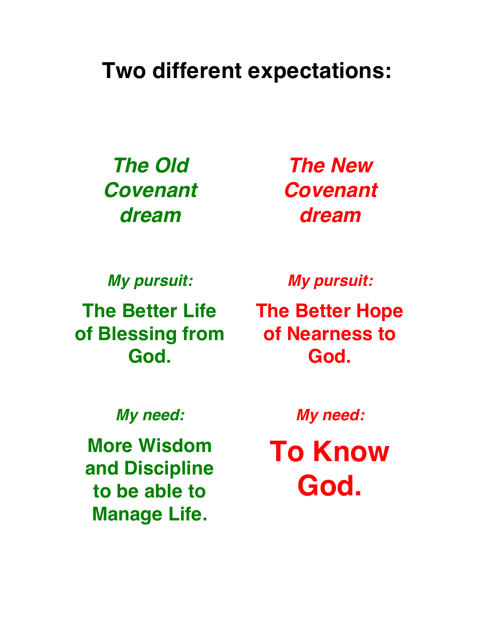# **Two different expectations:**

*The Old Covenant dream*

*The New Covenant dream*

*My pursuit:*  **of Blessing from God.**

*My pursuit:* 

**The Better Life The Better Hope of Nearness to God.**

*My need:*

**More Wisdom and Discipline to be able to Manage Life.**

*My need:*

**To Know God.**